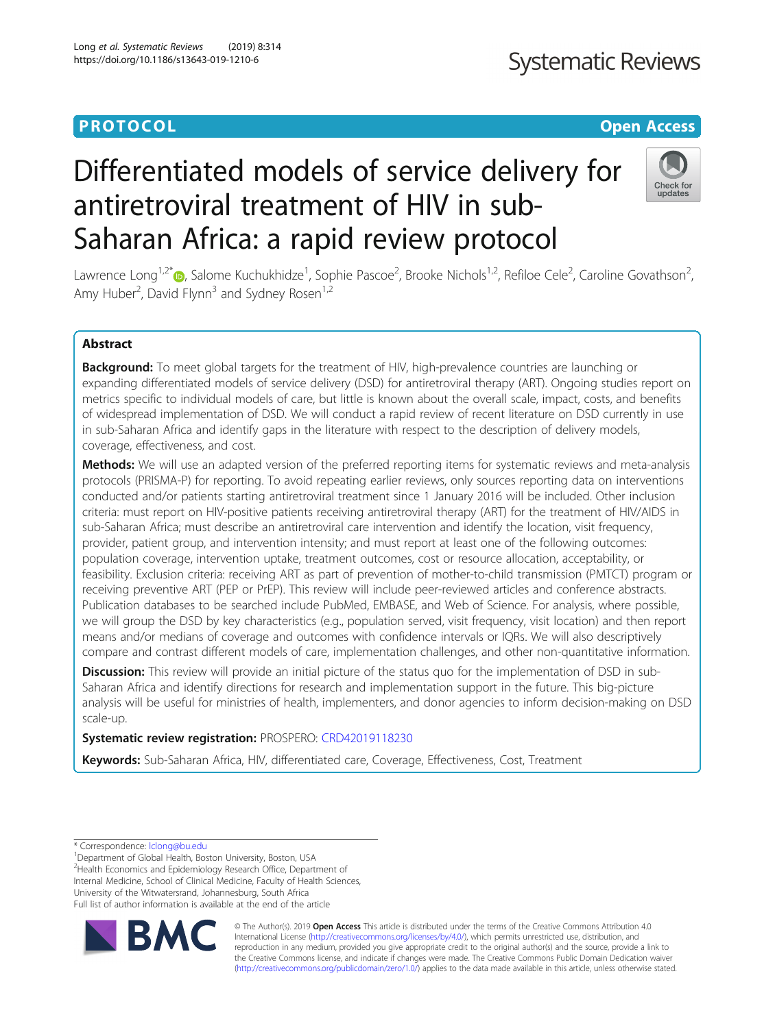# **PROTOCOL CONSUMING THE OPEN ACCESS**

# Differentiated models of service delivery for antiretroviral treatment of HIV in sub-Saharan Africa: a rapid review protocol



Lawrence Long<sup>1,2[\\*](http://orcid.org/0000-0003-4986-4988)</sup>®, Salome Kuchukhidze<sup>1</sup>, Sophie Pascoe<sup>2</sup>, Brooke Nichols<sup>1,2</sup>, Refiloe Cele<sup>2</sup>, Caroline Govathson<sup>2</sup> .<br>, Amy Huber<sup>2</sup>, David Flynn<sup>3</sup> and Sydney Rosen<sup>1,2</sup>

# Abstract

**Background:** To meet global targets for the treatment of HIV, high-prevalence countries are launching or expanding differentiated models of service delivery (DSD) for antiretroviral therapy (ART). Ongoing studies report on metrics specific to individual models of care, but little is known about the overall scale, impact, costs, and benefits of widespread implementation of DSD. We will conduct a rapid review of recent literature on DSD currently in use in sub-Saharan Africa and identify gaps in the literature with respect to the description of delivery models, coverage, effectiveness, and cost.

Methods: We will use an adapted version of the preferred reporting items for systematic reviews and meta-analysis protocols (PRISMA-P) for reporting. To avoid repeating earlier reviews, only sources reporting data on interventions conducted and/or patients starting antiretroviral treatment since 1 January 2016 will be included. Other inclusion criteria: must report on HIV-positive patients receiving antiretroviral therapy (ART) for the treatment of HIV/AIDS in sub-Saharan Africa; must describe an antiretroviral care intervention and identify the location, visit frequency, provider, patient group, and intervention intensity; and must report at least one of the following outcomes: population coverage, intervention uptake, treatment outcomes, cost or resource allocation, acceptability, or feasibility. Exclusion criteria: receiving ART as part of prevention of mother-to-child transmission (PMTCT) program or receiving preventive ART (PEP or PrEP). This review will include peer-reviewed articles and conference abstracts. Publication databases to be searched include PubMed, EMBASE, and Web of Science. For analysis, where possible, we will group the DSD by key characteristics (e.g., population served, visit frequency, visit location) and then report means and/or medians of coverage and outcomes with confidence intervals or IQRs. We will also descriptively compare and contrast different models of care, implementation challenges, and other non-quantitative information.

Discussion: This review will provide an initial picture of the status quo for the implementation of DSD in sub-Saharan Africa and identify directions for research and implementation support in the future. This big-picture analysis will be useful for ministries of health, implementers, and donor agencies to inform decision-making on DSD scale-up.

# Systematic review registration: PROSPERO: [CRD42019118230](https://www.crd.york.ac.uk/prospero/display_record.php?RecordID=118230)

Keywords: Sub-Saharan Africa, HIV, differentiated care, Coverage, Effectiveness, Cost, Treatment

<sup>1</sup>Department of Global Health, Boston University, Boston, USA

<sup>2</sup>Health Economics and Epidemiology Research Office, Department of Internal Medicine, School of Clinical Medicine, Faculty of Health Sciences, University of the Witwatersrand, Johannesburg, South Africa

Full list of author information is available at the end of the article



© The Author(s). 2019 **Open Access** This article is distributed under the terms of the Creative Commons Attribution 4.0 International License [\(http://creativecommons.org/licenses/by/4.0/](http://creativecommons.org/licenses/by/4.0/)), which permits unrestricted use, distribution, and reproduction in any medium, provided you give appropriate credit to the original author(s) and the source, provide a link to the Creative Commons license, and indicate if changes were made. The Creative Commons Public Domain Dedication waiver [\(http://creativecommons.org/publicdomain/zero/1.0/](http://creativecommons.org/publicdomain/zero/1.0/)) applies to the data made available in this article, unless otherwise stated.

<sup>\*</sup> Correspondence: [lclong@bu.edu](mailto:lclong@bu.edu) <sup>1</sup>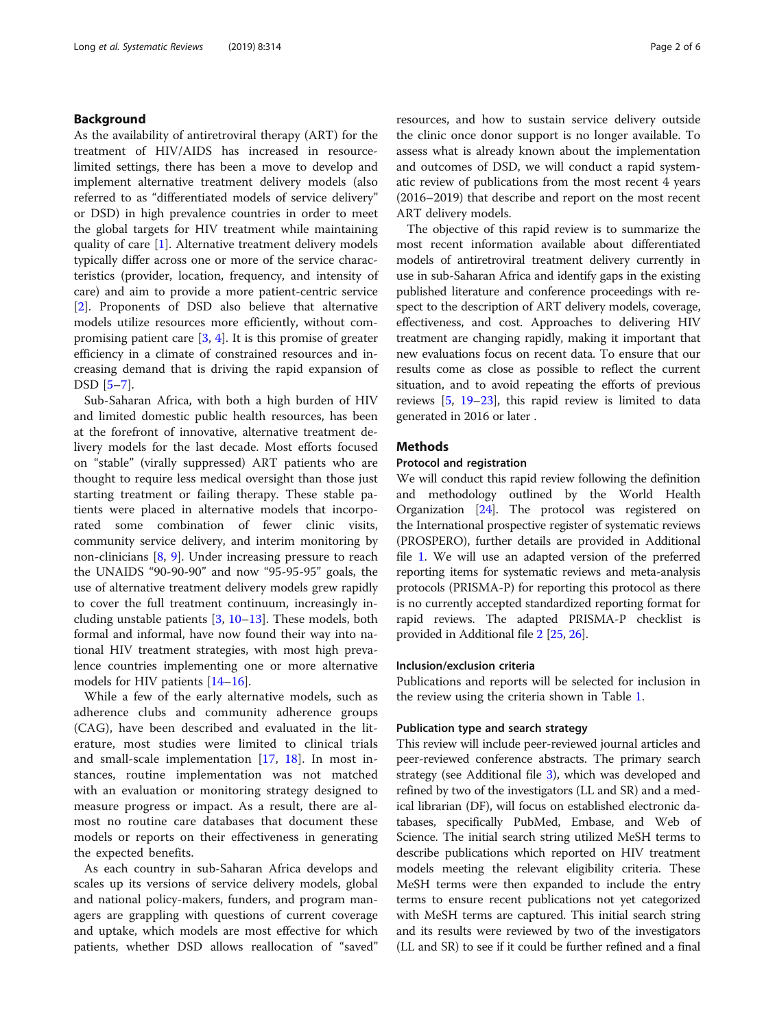# Background

As the availability of antiretroviral therapy (ART) for the treatment of HIV/AIDS has increased in resourcelimited settings, there has been a move to develop and implement alternative treatment delivery models (also referred to as "differentiated models of service delivery" or DSD) in high prevalence countries in order to meet the global targets for HIV treatment while maintaining quality of care [[1\]](#page-4-0). Alternative treatment delivery models typically differ across one or more of the service characteristics (provider, location, frequency, and intensity of care) and aim to provide a more patient-centric service [[2\]](#page-4-0). Proponents of DSD also believe that alternative models utilize resources more efficiently, without compromising patient care  $[3, 4]$  $[3, 4]$  $[3, 4]$  $[3, 4]$ . It is this promise of greater efficiency in a climate of constrained resources and increasing demand that is driving the rapid expansion of DSD [\[5](#page-4-0)–[7\]](#page-4-0).

Sub-Saharan Africa, with both a high burden of HIV and limited domestic public health resources, has been at the forefront of innovative, alternative treatment delivery models for the last decade. Most efforts focused on "stable" (virally suppressed) ART patients who are thought to require less medical oversight than those just starting treatment or failing therapy. These stable patients were placed in alternative models that incorporated some combination of fewer clinic visits, community service delivery, and interim monitoring by non-clinicians [[8,](#page-4-0) [9](#page-4-0)]. Under increasing pressure to reach the UNAIDS "90-90-90" and now "95-95-95" goals, the use of alternative treatment delivery models grew rapidly to cover the full treatment continuum, increasingly including unstable patients [[3,](#page-4-0) [10](#page-4-0)–[13](#page-4-0)]. These models, both formal and informal, have now found their way into national HIV treatment strategies, with most high prevalence countries implementing one or more alternative models for HIV patients [\[14](#page-4-0)–[16\]](#page-4-0).

While a few of the early alternative models, such as adherence clubs and community adherence groups (CAG), have been described and evaluated in the literature, most studies were limited to clinical trials and small-scale implementation [[17,](#page-4-0) [18\]](#page-4-0). In most instances, routine implementation was not matched with an evaluation or monitoring strategy designed to measure progress or impact. As a result, there are almost no routine care databases that document these models or reports on their effectiveness in generating the expected benefits.

As each country in sub-Saharan Africa develops and scales up its versions of service delivery models, global and national policy-makers, funders, and program managers are grappling with questions of current coverage and uptake, which models are most effective for which patients, whether DSD allows reallocation of "saved" resources, and how to sustain service delivery outside the clinic once donor support is no longer available. To assess what is already known about the implementation and outcomes of DSD, we will conduct a rapid systematic review of publications from the most recent 4 years (2016–2019) that describe and report on the most recent ART delivery models.

The objective of this rapid review is to summarize the most recent information available about differentiated models of antiretroviral treatment delivery currently in use in sub-Saharan Africa and identify gaps in the existing published literature and conference proceedings with respect to the description of ART delivery models, coverage, effectiveness, and cost. Approaches to delivering HIV treatment are changing rapidly, making it important that new evaluations focus on recent data. To ensure that our results come as close as possible to reflect the current situation, and to avoid repeating the efforts of previous reviews [\[5](#page-4-0), [19](#page-4-0)–[23](#page-5-0)], this rapid review is limited to data generated in 2016 or later .

# **Methods**

# Protocol and registration

We will conduct this rapid review following the definition and methodology outlined by the World Health Organization [\[24](#page-5-0)]. The protocol was registered on the International prospective register of systematic reviews (PROSPERO), further details are provided in Additional file [1](#page-4-0). We will use an adapted version of the preferred reporting items for systematic reviews and meta-analysis protocols (PRISMA-P) for reporting this protocol as there is no currently accepted standardized reporting format for rapid reviews. The adapted PRISMA-P checklist is provided in Additional file [2](#page-4-0) [\[25,](#page-5-0) [26](#page-5-0)].

# Inclusion/exclusion criteria

Publications and reports will be selected for inclusion in the review using the criteria shown in Table [1](#page-2-0).

# Publication type and search strategy

This review will include peer-reviewed journal articles and peer-reviewed conference abstracts. The primary search strategy (see Additional file [3\)](#page-4-0), which was developed and refined by two of the investigators (LL and SR) and a medical librarian (DF), will focus on established electronic databases, specifically PubMed, Embase, and Web of Science. The initial search string utilized MeSH terms to describe publications which reported on HIV treatment models meeting the relevant eligibility criteria. These MeSH terms were then expanded to include the entry terms to ensure recent publications not yet categorized with MeSH terms are captured. This initial search string and its results were reviewed by two of the investigators (LL and SR) to see if it could be further refined and a final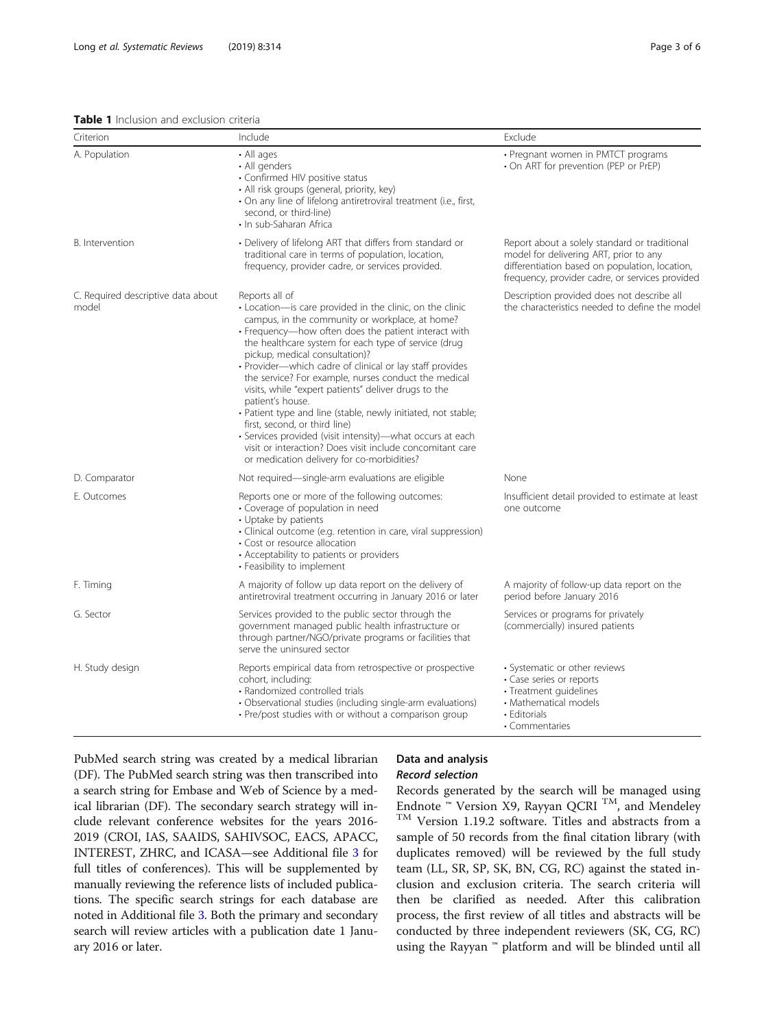# <span id="page-2-0"></span>Table 1 Inclusion and exclusion criteria

| Criterion                                   | Include                                                                                                                                                                                                                                                                                                                                                                                                                                                                                                                                                                                                                                                                                                                                                   | Exclude                                                                                                                                                                                      |
|---------------------------------------------|-----------------------------------------------------------------------------------------------------------------------------------------------------------------------------------------------------------------------------------------------------------------------------------------------------------------------------------------------------------------------------------------------------------------------------------------------------------------------------------------------------------------------------------------------------------------------------------------------------------------------------------------------------------------------------------------------------------------------------------------------------------|----------------------------------------------------------------------------------------------------------------------------------------------------------------------------------------------|
| A. Population                               | • All ages<br>• All genders<br>• Confirmed HIV positive status<br>· All risk groups (general, priority, key)<br>· On any line of lifelong antiretroviral treatment (i.e., first,<br>second, or third-line)<br>• In sub-Saharan Africa                                                                                                                                                                                                                                                                                                                                                                                                                                                                                                                     | • Pregnant women in PMTCT programs<br>• On ART for prevention (PEP or PrEP)                                                                                                                  |
| B. Intervention                             | • Delivery of lifelong ART that differs from standard or<br>traditional care in terms of population, location,<br>frequency, provider cadre, or services provided.                                                                                                                                                                                                                                                                                                                                                                                                                                                                                                                                                                                        | Report about a solely standard or traditional<br>model for delivering ART, prior to any<br>differentiation based on population, location,<br>frequency, provider cadre, or services provided |
| C. Required descriptive data about<br>model | Reports all of<br>• Location-is care provided in the clinic, on the clinic<br>campus, in the community or workplace, at home?<br>· Frequency-how often does the patient interact with<br>the healthcare system for each type of service (drug<br>pickup, medical consultation)?<br>· Provider-which cadre of clinical or lay staff provides<br>the service? For example, nurses conduct the medical<br>visits, while "expert patients" deliver drugs to the<br>patient's house.<br>· Patient type and line (stable, newly initiated, not stable;<br>first, second, or third line)<br>• Services provided (visit intensity)—what occurs at each<br>visit or interaction? Does visit include concomitant care<br>or medication delivery for co-morbidities? | Description provided does not describe all<br>the characteristics needed to define the model                                                                                                 |
| D. Comparator                               | Not required—single-arm evaluations are eligible                                                                                                                                                                                                                                                                                                                                                                                                                                                                                                                                                                                                                                                                                                          | None                                                                                                                                                                                         |
| E. Outcomes                                 | Reports one or more of the following outcomes:<br>· Coverage of population in need<br>• Uptake by patients<br>· Clinical outcome (e.g. retention in care, viral suppression)<br>• Cost or resource allocation<br>• Acceptability to patients or providers<br>• Feasibility to implement                                                                                                                                                                                                                                                                                                                                                                                                                                                                   | Insufficient detail provided to estimate at least<br>one outcome                                                                                                                             |
| F. Timing                                   | A majority of follow up data report on the delivery of<br>antiretroviral treatment occurring in January 2016 or later                                                                                                                                                                                                                                                                                                                                                                                                                                                                                                                                                                                                                                     | A majority of follow-up data report on the<br>period before January 2016                                                                                                                     |
| G. Sector                                   | Services provided to the public sector through the<br>government managed public health infrastructure or<br>through partner/NGO/private programs or facilities that<br>serve the uninsured sector                                                                                                                                                                                                                                                                                                                                                                                                                                                                                                                                                         | Services or programs for privately<br>(commercially) insured patients                                                                                                                        |
| H. Study design                             | Reports empirical data from retrospective or prospective<br>cohort, including:<br>• Randomized controlled trials<br>· Observational studies (including single-arm evaluations)<br>• Pre/post studies with or without a comparison group                                                                                                                                                                                                                                                                                                                                                                                                                                                                                                                   | • Systematic or other reviews<br>• Case series or reports<br>• Treatment guidelines<br>• Mathematical models<br>• Editorials<br>• Commentaries                                               |

PubMed search string was created by a medical librarian (DF). The PubMed search string was then transcribed into a search string for Embase and Web of Science by a medical librarian (DF). The secondary search strategy will include relevant conference websites for the years 2016- 2019 (CROI, IAS, SAAIDS, SAHIVSOC, EACS, APACC, INTEREST, ZHRC, and ICASA—see Additional file [3](#page-4-0) for full titles of conferences). This will be supplemented by manually reviewing the reference lists of included publications. The specific search strings for each database are noted in Additional file [3](#page-4-0). Both the primary and secondary search will review articles with a publication date 1 January 2016 or later.

# Data and analysis Record selection

Records generated by the search will be managed using Endnote <sup>™</sup> Version X9, Rayyan QCRI <sup>TM</sup>, and Mendeley TM Version 1.19.2 software. Titles and abstracts from a sample of 50 records from the final citation library (with duplicates removed) will be reviewed by the full study team (LL, SR, SP, SK, BN, CG, RC) against the stated inclusion and exclusion criteria. The search criteria will then be clarified as needed. After this calibration process, the first review of all titles and abstracts will be conducted by three independent reviewers (SK, CG, RC) using the Rayyan ™ platform and will be blinded until all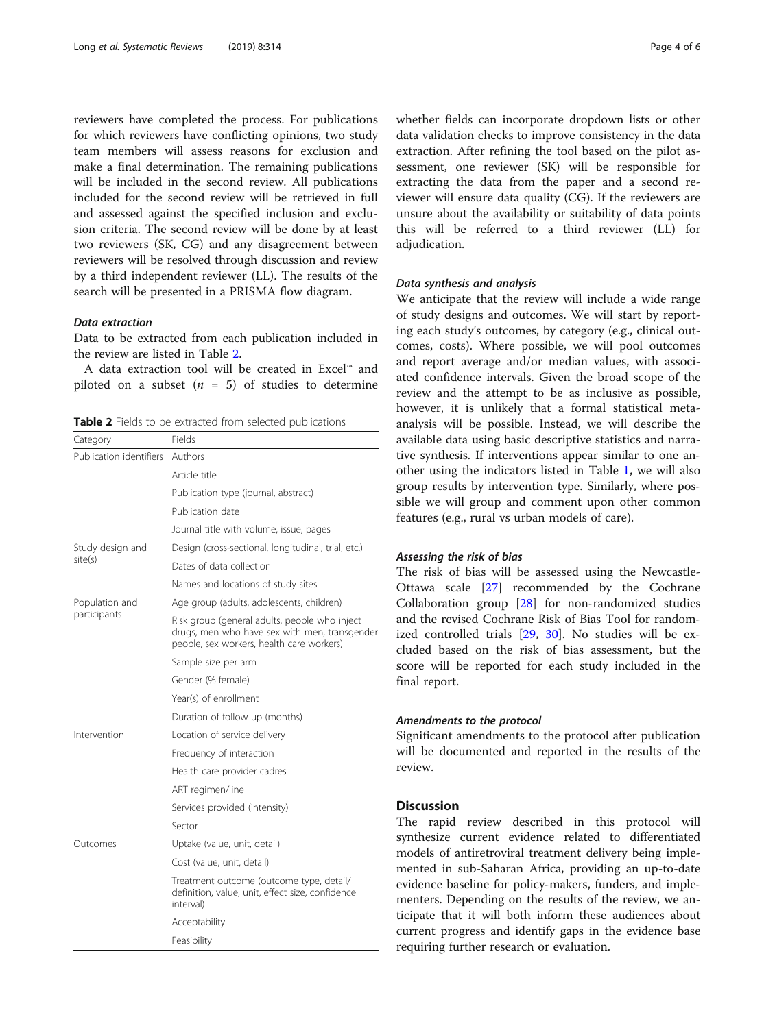reviewers have completed the process. For publications for which reviewers have conflicting opinions, two study team members will assess reasons for exclusion and make a final determination. The remaining publications will be included in the second review. All publications included for the second review will be retrieved in full and assessed against the specified inclusion and exclusion criteria. The second review will be done by at least two reviewers (SK, CG) and any disagreement between reviewers will be resolved through discussion and review by a third independent reviewer (LL). The results of the search will be presented in a PRISMA flow diagram.

# Data extraction

Data to be extracted from each publication included in the review are listed in Table 2.

A data extraction tool will be created in Excel™ and piloted on a subset  $(n = 5)$  of studies to determine

Table 2 Fields to be extracted from selected publications

| Category                       | Fields                                                                                                                                      |  |
|--------------------------------|---------------------------------------------------------------------------------------------------------------------------------------------|--|
| Publication identifiers        | Authors                                                                                                                                     |  |
|                                | Article title                                                                                                                               |  |
|                                | Publication type (journal, abstract)                                                                                                        |  |
|                                | Publication date                                                                                                                            |  |
|                                | Journal title with volume, issue, pages                                                                                                     |  |
| Study design and<br>site(s)    | Design (cross-sectional, longitudinal, trial, etc.)                                                                                         |  |
|                                | Dates of data collection                                                                                                                    |  |
|                                | Names and locations of study sites                                                                                                          |  |
| Population and<br>participants | Age group (adults, adolescents, children)                                                                                                   |  |
|                                | Risk group (general adults, people who inject<br>drugs, men who have sex with men, transgender<br>people, sex workers, health care workers) |  |
|                                | Sample size per arm                                                                                                                         |  |
|                                | Gender (% female)                                                                                                                           |  |
|                                | Year(s) of enrollment                                                                                                                       |  |
|                                | Duration of follow up (months)                                                                                                              |  |
| Intervention                   | Location of service delivery                                                                                                                |  |
|                                | Frequency of interaction                                                                                                                    |  |
|                                | Health care provider cadres                                                                                                                 |  |
|                                | ART regimen/line                                                                                                                            |  |
|                                | Services provided (intensity)                                                                                                               |  |
|                                | Sector                                                                                                                                      |  |
| Outcomes                       | Uptake (value, unit, detail)                                                                                                                |  |
|                                | Cost (value, unit, detail)                                                                                                                  |  |
|                                | Treatment outcome (outcome type, detail/<br>definition, value, unit, effect size, confidence<br>interval)                                   |  |
|                                | Acceptability                                                                                                                               |  |
|                                | Feasibility                                                                                                                                 |  |

whether fields can incorporate dropdown lists or other data validation checks to improve consistency in the data extraction. After refining the tool based on the pilot assessment, one reviewer (SK) will be responsible for extracting the data from the paper and a second reviewer will ensure data quality (CG). If the reviewers are unsure about the availability or suitability of data points this will be referred to a third reviewer (LL) for adjudication.

# Data synthesis and analysis

We anticipate that the review will include a wide range of study designs and outcomes. We will start by reporting each study's outcomes, by category (e.g., clinical outcomes, costs). Where possible, we will pool outcomes and report average and/or median values, with associated confidence intervals. Given the broad scope of the review and the attempt to be as inclusive as possible, however, it is unlikely that a formal statistical metaanalysis will be possible. Instead, we will describe the available data using basic descriptive statistics and narrative synthesis. If interventions appear similar to one another using the indicators listed in Table [1](#page-2-0), we will also group results by intervention type. Similarly, where possible we will group and comment upon other common features (e.g., rural vs urban models of care).

# Assessing the risk of bias

The risk of bias will be assessed using the Newcastle-Ottawa scale [\[27\]](#page-5-0) recommended by the Cochrane Collaboration group [[28\]](#page-5-0) for non-randomized studies and the revised Cochrane Risk of Bias Tool for randomized controlled trials [\[29,](#page-5-0) [30](#page-5-0)]. No studies will be excluded based on the risk of bias assessment, but the score will be reported for each study included in the final report.

# Amendments to the protocol

Significant amendments to the protocol after publication will be documented and reported in the results of the review.

# **Discussion**

The rapid review described in this protocol will synthesize current evidence related to differentiated models of antiretroviral treatment delivery being implemented in sub-Saharan Africa, providing an up-to-date evidence baseline for policy-makers, funders, and implementers. Depending on the results of the review, we anticipate that it will both inform these audiences about current progress and identify gaps in the evidence base requiring further research or evaluation.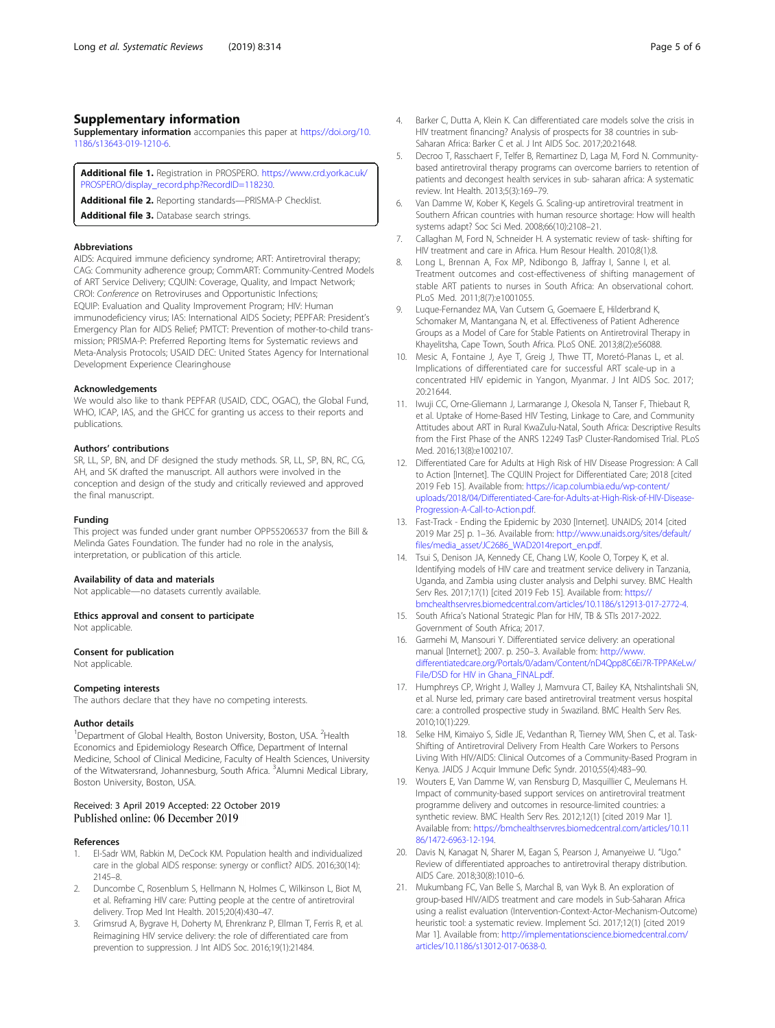# <span id="page-4-0"></span>Supplementary information

Supplementary information accompanies this paper at [https://doi.org/10.](https://doi.org/10.1186/s13643-019-1210-6) [1186/s13643-019-1210-6.](https://doi.org/10.1186/s13643-019-1210-6)

Additional file 1. Registration in PROSPERO. [https://www.crd.york.ac.uk/](https://www.crd.york.ac.uk/PROSPERO/display_record.php?RecordID=118230) [PROSPERO/display\\_record.php?RecordID=118230.](https://www.crd.york.ac.uk/PROSPERO/display_record.php?RecordID=118230)

Additional file 2. Reporting standards-PRISMA-P Checklist.

Additional file 3. Database search strings.

# Abbreviations

AIDS: Acquired immune deficiency syndrome; ART: Antiretroviral therapy; CAG: Community adherence group; CommART: Community-Centred Models of ART Service Delivery; CQUIN: Coverage, Quality, and Impact Network; CROI: Conference on Retroviruses and Opportunistic Infections; EQUIP: Evaluation and Quality Improvement Program; HIV: Human immunodeficiency virus; IAS: International AIDS Society; PEPFAR: President's Emergency Plan for AIDS Relief; PMTCT: Prevention of mother-to-child transmission; PRISMA-P: Preferred Reporting Items for Systematic reviews and Meta-Analysis Protocols; USAID DEC: United States Agency for International Development Experience Clearinghouse

#### Acknowledgements

We would also like to thank PEPFAR (USAID, CDC, OGAC), the Global Fund, WHO, ICAP, IAS, and the GHCC for granting us access to their reports and publications.

# Authors' contributions

SR, LL, SP, BN, and DF designed the study methods. SR, LL, SP, BN, RC, CG, AH, and SK drafted the manuscript. All authors were involved in the conception and design of the study and critically reviewed and approved the final manuscript.

## Funding

This project was funded under grant number OPP55206537 from the Bill & Melinda Gates Foundation. The funder had no role in the analysis, interpretation, or publication of this article.

#### Availability of data and materials

Not applicable—no datasets currently available.

Ethics approval and consent to participate

Not applicable.

## Consent for publication

Not applicable.

# Competing interests

The authors declare that they have no competing interests.

# Author details

<sup>1</sup>Department of Global Health, Boston University, Boston, USA. <sup>2</sup>Health Economics and Epidemiology Research Office, Department of Internal Medicine, School of Clinical Medicine, Faculty of Health Sciences, University of the Witwatersrand, Johannesburg, South Africa. <sup>3</sup>Alumni Medical Library, Boston University, Boston, USA.

# Received: 3 April 2019 Accepted: 22 October 2019 Published online: 06 December 2019

# References

- 1. El-Sadr WM, Rabkin M, DeCock KM. Population health and individualized care in the global AIDS response: synergy or conflict? AIDS. 2016;30(14): 2145–8.
- 2. Duncombe C, Rosenblum S, Hellmann N, Holmes C, Wilkinson L, Biot M, et al. Reframing HIV care: Putting people at the centre of antiretroviral delivery. Trop Med Int Health. 2015;20(4):430–47.
- 3. Grimsrud A, Bygrave H, Doherty M, Ehrenkranz P, Ellman T, Ferris R, et al. Reimagining HIV service delivery: the role of differentiated care from prevention to suppression. J Int AIDS Soc. 2016;19(1):21484.
- 4. Barker C, Dutta A, Klein K. Can differentiated care models solve the crisis in HIV treatment financing? Analysis of prospects for 38 countries in sub-Saharan Africa: Barker C et al. J Int AIDS Soc. 2017;20:21648.
- 5. Decroo T, Rasschaert F, Telfer B, Remartinez D, Laga M, Ford N. Communitybased antiretroviral therapy programs can overcome barriers to retention of patients and decongest health services in sub- saharan africa: A systematic review. Int Health. 2013;5(3):169–79.
- 6. Van Damme W, Kober K, Kegels G. Scaling-up antiretroviral treatment in Southern African countries with human resource shortage: How will health systems adapt? Soc Sci Med. 2008;66(10):2108–21.
- 7. Callaghan M, Ford N, Schneider H. A systematic review of task- shifting for HIV treatment and care in Africa. Hum Resour Health. 2010;8(1):8.
- 8. Long L, Brennan A, Fox MP, Ndibongo B, Jaffray I, Sanne I, et al. Treatment outcomes and cost-effectiveness of shifting management of stable ART patients to nurses in South Africa: An observational cohort. PLoS Med. 2011;8(7):e1001055.
- 9. Luque-Fernandez MA, Van Cutsem G, Goemaere E, Hilderbrand K, Schomaker M, Mantangana N, et al. Effectiveness of Patient Adherence Groups as a Model of Care for Stable Patients on Antiretroviral Therapy in Khayelitsha, Cape Town, South Africa. PLoS ONE. 2013;8(2):e56088.
- 10. Mesic A, Fontaine J, Aye T, Greig J, Thwe TT, Moretó-Planas L, et al. Implications of differentiated care for successful ART scale-up in a concentrated HIV epidemic in Yangon, Myanmar. J Int AIDS Soc. 2017; 20:21644.
- 11. Iwuji CC, Orne-Gliemann J, Larmarange J, Okesola N, Tanser F, Thiebaut R, et al. Uptake of Home-Based HIV Testing, Linkage to Care, and Community Attitudes about ART in Rural KwaZulu-Natal, South Africa: Descriptive Results from the First Phase of the ANRS 12249 TasP Cluster-Randomised Trial. PLoS Med. 2016;13(8):e1002107.
- 12. Differentiated Care for Adults at High Risk of HIV Disease Progression: A Call to Action [Internet]. The CQUIN Project for Differentiated Care; 2018 [cited 2019 Feb 15]. Available from: [https://icap.columbia.edu/wp-content/](https://icap.columbia.edu/wp-content/uploads/2018/04/Differentiated-Care-for-Adults-at-High-Risk-of-HIV-Disease-Progression-A-Call-to-Action.pdf) [uploads/2018/04/Differentiated-Care-for-Adults-at-High-Risk-of-HIV-Disease-](https://icap.columbia.edu/wp-content/uploads/2018/04/Differentiated-Care-for-Adults-at-High-Risk-of-HIV-Disease-Progression-A-Call-to-Action.pdf)[Progression-A-Call-to-Action.pdf.](https://icap.columbia.edu/wp-content/uploads/2018/04/Differentiated-Care-for-Adults-at-High-Risk-of-HIV-Disease-Progression-A-Call-to-Action.pdf)
- 13. Fast-Track Ending the Epidemic by 2030 [Internet]. UNAIDS; 2014 [cited 2019 Mar 25] p. 1–36. Available from: [http://www.unaids.org/sites/default/](http://www.unaids.org/sites/default/files/media_asset/JC2686_WAD2014report_en.pdf) [files/media\\_asset/JC2686\\_WAD2014report\\_en.pdf](http://www.unaids.org/sites/default/files/media_asset/JC2686_WAD2014report_en.pdf).
- 14. Tsui S, Denison JA, Kennedy CE, Chang LW, Koole O, Torpey K, et al. Identifying models of HIV care and treatment service delivery in Tanzania, Uganda, and Zambia using cluster analysis and Delphi survey. BMC Health Serv Res. 2017;17(1) [cited 2019 Feb 15]. Available from: [https://](https://bmchealthservres.biomedcentral.com/articles/10.1186/s12913-017-2772-4) [bmchealthservres.biomedcentral.com/articles/10.1186/s12913-017-2772-4.](https://bmchealthservres.biomedcentral.com/articles/10.1186/s12913-017-2772-4)
- 15. South Africa's National Strategic Plan for HIV, TB & STIs 2017-2022. Government of South Africa; 2017.
- 16. Garmehi M, Mansouri Y. Differentiated service delivery: an operational manual [Internet]; 2007. p. 250–3. Available from: [http://www.](http://www.differentiatedcare.org/Portals/0/adam/Content/nD4Qpp8C6Ei7R-TPPAKeLw/File/DSD%20for%20HIV%20in%20Ghana_FINAL.pdf) [differentiatedcare.org/Portals/0/adam/Content/nD4Qpp8C6Ei7R-TPPAKeLw/](http://www.differentiatedcare.org/Portals/0/adam/Content/nD4Qpp8C6Ei7R-TPPAKeLw/File/DSD%20for%20HIV%20in%20Ghana_FINAL.pdf) [File/DSD for HIV in Ghana\\_FINAL.pdf.](http://www.differentiatedcare.org/Portals/0/adam/Content/nD4Qpp8C6Ei7R-TPPAKeLw/File/DSD%20for%20HIV%20in%20Ghana_FINAL.pdf)
- 17. Humphreys CP, Wright J, Walley J, Mamvura CT, Bailey KA, Ntshalintshali SN, et al. Nurse led, primary care based antiretroviral treatment versus hospital care: a controlled prospective study in Swaziland. BMC Health Serv Res. 2010;10(1):229.
- 18. Selke HM, Kimaiyo S, Sidle JE, Vedanthan R, Tierney WM, Shen C, et al. Task-Shifting of Antiretroviral Delivery From Health Care Workers to Persons Living With HIV/AIDS: Clinical Outcomes of a Community-Based Program in Kenya. JAIDS J Acquir Immune Defic Syndr. 2010;55(4):483–90.
- 19. Wouters E, Van Damme W, van Rensburg D, Masquillier C, Meulemans H. Impact of community-based support services on antiretroviral treatment programme delivery and outcomes in resource-limited countries: a synthetic review. BMC Health Serv Res. 2012;12(1) [cited 2019 Mar 1]. Available from: [https://bmchealthservres.biomedcentral.com/articles/10.11](https://bmchealthservres.biomedcentral.com/articles/10.1186/1472-6963-12-194) [86/1472-6963-12-194.](https://bmchealthservres.biomedcentral.com/articles/10.1186/1472-6963-12-194)
- 20. Davis N, Kanagat N, Sharer M, Eagan S, Pearson J, Amanyeiwe U. "Ugo." Review of differentiated approaches to antiretroviral therapy distribution. AIDS Care. 2018;30(8):1010–6.
- 21. Mukumbang FC, Van Belle S, Marchal B, van Wyk B. An exploration of group-based HIV/AIDS treatment and care models in Sub-Saharan Africa using a realist evaluation (Intervention-Context-Actor-Mechanism-Outcome) heuristic tool: a systematic review. Implement Sci. 2017;12(1) [cited 2019 Mar 1]. Available from: [http://implementationscience.biomedcentral.com/](http://implementationscience.biomedcentral.com/articles/10.1186/s13012-017-0638-0) [articles/10.1186/s13012-017-0638-0.](http://implementationscience.biomedcentral.com/articles/10.1186/s13012-017-0638-0)